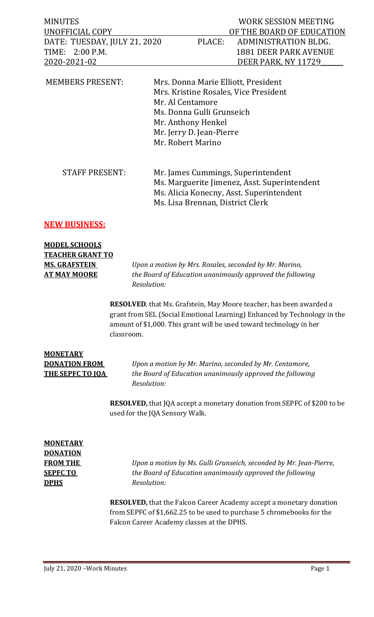| <b>MINUTES</b><br>UNOFFICIAL COPY<br>DATE: TUESDAY, JULY 21, 2020<br>TIME: 2:00 P.M.<br>2020-2021-02 | PLACE:                                                                                                               | WORK SESSION MEETING<br>OF THE BOARD OF EDUCATION<br>ADMINISTRATION BLDG.<br><b>1881 DEER PARK AVENUE</b><br>DEER PARK, NY 11729 |  |
|------------------------------------------------------------------------------------------------------|----------------------------------------------------------------------------------------------------------------------|----------------------------------------------------------------------------------------------------------------------------------|--|
| <b>MEMBERS PRESENT:</b>                                                                              | Mr. Al Centamore<br>Ms. Donna Gulli Grunseich<br>Mr. Anthony Henkel<br>Mr. Jerry D. Jean-Pierre<br>Mr. Robert Marino | Mrs. Donna Marie Elliott, President<br>Mrs. Kristine Rosales, Vice President                                                     |  |
| <b>STAFF PRESENT:</b>                                                                                | Ms. Lisa Brennan, District Clerk                                                                                     | Mr. James Cummings, Superintendent<br>Ms. Marguerite Jimenez, Asst. Superintendent<br>Ms. Alicia Konecny, Asst. Superintendent   |  |

#### **NEW BUSINESS:**

## **MODEL SCHOOLS TEACHER GRANT TO**

**MS. GRAFSTEIN** *Upon a motion by Mrs. Rosales, seconded by Mr. Marino,* **AT MAY MOORE** *the Board of Education unanimously approved the following Resolution:*

> **RESOLVED**, that Ms. Grafstein, May Moore teacher, has been awarded a grant from SEL (Social Emotional Learning) Enhanced by Technology in the amount of \$1,000. This grant will be used toward technology in her classroom.

# **MONETARY**

**DONATION FROM** *Upon a motion by Mr. Marino, seconded by Mr. Centamore,* **THE SEPFC TO JQA** *the Board of Education unanimously approved the following Resolution:*

> **RESOLVED,** that JQA accept a monetary donation from SEPFC of \$200 to be used for the JQA Sensory Walk.

## **MONETARY DONATION DPHS** *Resolution:*

**FROM THE** *Upon a motion by Ms. Gulli Grunseich, seconded by Mr. Jean-Pierre,* **SEPFC TO** *the Board of Education unanimously approved the following*

> **RESOLVED,** that the Falcon Career Academy accept a monetary donation from SEPFC of \$1,662.25 to be used to purchase 5 chromebooks for the Falcon Career Academy classes at the DPHS.